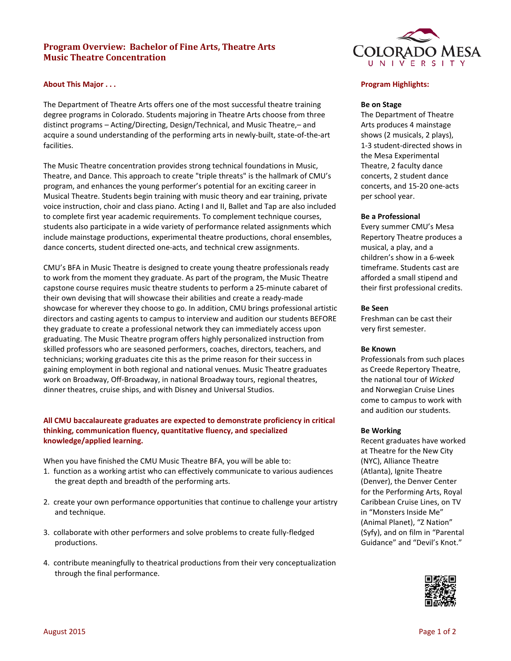# **Program Overview: Bachelor of Fine Arts, Theatre Arts Music Theatre Concentration**

# **About This Major . . .**

The Department of Theatre Arts offers one of the most successful theatre training degree programs in Colorado. Students majoring in Theatre Arts choose from three distinct programs – Acting/Directing, Design/Technical, and Music Theatre,– and acquire a sound understanding of the performing arts in newly-built, state-of-the-art facilities.

The Music Theatre concentration provides strong technical foundations in Music, Theatre, and Dance. This approach to create "triple threats" is the hallmark of CMU's program, and enhances the young performer's potential for an exciting career in Musical Theatre. Students begin training with music theory and ear training, private voice instruction, choir and class piano. Acting I and II, Ballet and Tap are also included to complete first year academic requirements. To complement technique courses, students also participate in a wide variety of performance related assignments which include mainstage productions, experimental theatre productions, choral ensembles, dance concerts, student directed one-acts, and technical crew assignments.

CMU's BFA in Music Theatre is designed to create young theatre professionals ready to work from the moment they graduate. As part of the program, the Music Theatre capstone course requires music theatre students to perform a 25-minute cabaret of their own devising that will showcase their abilities and create a ready-made showcase for wherever they choose to go. In addition, CMU brings professional artistic directors and casting agents to campus to interview and audition our students BEFORE they graduate to create a professional network they can immediately access upon graduating. The Music Theatre program offers highly personalized instruction from skilled professors who are seasoned performers, coaches, directors, teachers, and technicians; working graduates cite this as the prime reason for their success in gaining employment in both regional and national venues. Music Theatre graduates work on Broadway, Off-Broadway, in national Broadway tours, regional theatres, dinner theatres, cruise ships, and with Disney and Universal Studios.

# **All CMU baccalaureate graduates are expected to demonstrate proficiency in critical thinking, communication fluency, quantitative fluency, and specialized knowledge/applied learning.**

When you have finished the CMU Music Theatre BFA, you will be able to:

- 1. function as a working artist who can effectively communicate to various audiences the great depth and breadth of the performing arts.
- 2. create your own performance opportunities that continue to challenge your artistry and technique.
- 3. collaborate with other performers and solve problems to create fully-fledged productions.
- 4. contribute meaningfully to theatrical productions from their very conceptualization through the final performance.



### **Program Highlights:**

### **Be on Stage**

The Department of Theatre Arts produces 4 mainstage shows (2 musicals, 2 plays), 1-3 student-directed shows in the Mesa Experimental Theatre, 2 faculty dance concerts, 2 student dance concerts, and 15-20 one-acts per school year.

### **Be a Professional**

Every summer CMU's Mesa Repertory Theatre produces a musical, a play, and a children's show in a 6-week timeframe. Students cast are afforded a small stipend and their first professional credits.

### **Be Seen**

Freshman can be cast their very first semester.

### **Be Known**

Professionals from such places as Creede Repertory Theatre, the national tour of *Wicked* and Norwegian Cruise Lines come to campus to work with and audition our students.

#### **Be Working**

Recent graduates have worked at Theatre for the New City (NYC), Alliance Theatre (Atlanta), Ignite Theatre (Denver), the Denver Center for the Performing Arts, Royal Caribbean Cruise Lines, on TV in "Monsters Inside Me" (Animal Planet), "Z Nation" (Syfy), and on film in "Parental Guidance" and "Devil's Knot."